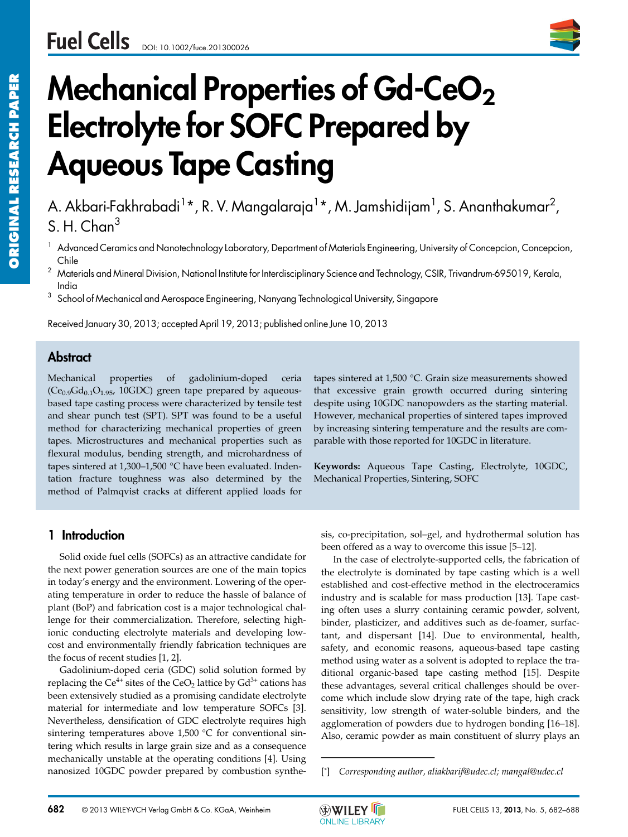

# **Mechanical Properties of Gd-CeO<sub>2</sub> Electrolyte for SOFC Prepared by Aqueous Tape Casting**

A. Akbari-Fakhrabadi<sup>1</sup>\*, R. V. Mangalaraja<sup>1</sup>\*, M. Jamshidijam<sup>1</sup>, S. Ananthakumar<sup>2</sup>,  $S$  H. Chan<sup>3</sup>

- <sup>1</sup> Advanced Ceramics and Nanotechnology Laboratory, Department of Materials Engineering, University of Concepcion, Concepcion, Chile
- $^2$  Materials and Mineral Division, National Institute for Interdisciplinary Science and Technology, CSIR, Trivandrum-695019, Kerala, India
- $3$  School of Mechanical and Aerospace Engineering, Nanyang Technological University, Singapore

Received January 30, 2013; accepted April 19, 2013; published online June 10, 2013

### **Abstract**

Mechanical properties of gadolinium-doped ceria  $(Ce_{0.9}Gd_{0.1}O_{1.95}$ , 10GDC) green tape prepared by aqueousbased tape casting process were characterized by tensile test and shear punch test (SPT). SPT was found to be a useful method for characterizing mechanical properties of green tapes. Microstructures and mechanical properties such as flexural modulus, bending strength, and microhardness of tapes sintered at 1,300–1,500 °C have been evaluated. Indentation fracture toughness was also determined by the method of Palmqvist cracks at different applied loads for tapes sintered at 1,500 °C. Grain size measurements showed that excessive grain growth occurred during sintering despite using 10GDC nanopowders as the starting material. However, mechanical properties of sintered tapes improved by increasing sintering temperature and the results are comparable with those reported for 10GDC in literature.

**Keywords:** Aqueous Tape Casting, Electrolyte, 10GDC, Mechanical Properties, Sintering, SOFC

#### **1 Introduction**

Solid oxide fuel cells (SOFCs) as an attractive candidate for the next power generation sources are one of the main topics in today's energy and the environment. Lowering of the operating temperature in order to reduce the hassle of balance of plant (BoP) and fabrication cost is a major technological challenge for their commercialization. Therefore, selecting highionic conducting electrolyte materials and developing lowcost and environmentally friendly fabrication techniques are the focus of recent studies [1, 2].

Gadolinium-doped ceria (GDC) solid solution formed by replacing the Ce<sup>4+</sup> sites of the CeO<sub>2</sub> lattice by  $Gd^{3+}$  cations has been extensively studied as a promising candidate electrolyte material for intermediate and low temperature SOFCs [3]. Nevertheless, densification of GDC electrolyte requires high sintering temperatures above 1,500 °C for conventional sintering which results in large grain size and as a consequence mechanically unstable at the operating conditions [4]. Using nanosized 10GDC powder prepared by combustion synthe-

sis, co-precipitation, sol–gel, and hydrothermal solution has been offered as a way to overcome this issue [5–12].

In the case of electrolyte-supported cells, the fabrication of the electrolyte is dominated by tape casting which is a well established and cost-effective method in the electroceramics industry and is scalable for mass production [13]. Tape casting often uses a slurry containing ceramic powder, solvent, binder, plasticizer, and additives such as de-foamer, surfactant, and dispersant [14]. Due to environmental, health, safety, and economic reasons, aqueous-based tape casting method using water as a solvent is adopted to replace the traditional organic-based tape casting method [15]. Despite these advantages, several critical challenges should be overcome which include slow drying rate of the tape, high crack sensitivity, low strength of water-soluble binders, and the agglomeration of powders due to hydrogen bonding [16–18]. Also, ceramic powder as main constituent of slurry plays an industry and is scalable fo<br>ing often uses a slurry cord<br>binder, plasticizer, and ad<br>tant, and dispersant [14]<br>safety, and economic reas<br>method using water as a sc<br>ditional organic-based ta<br>these advantages, several come w



<sup>[\*]</sup> *Corresponding author, aliakbarif@udec.cl; mangal@udec.cl*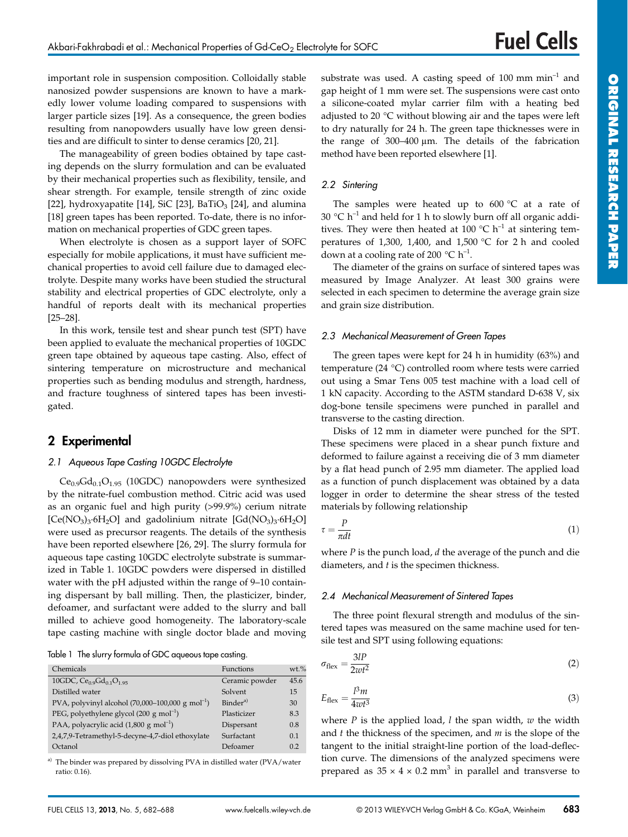**ORIGINAL**

important role in suspension composition. Colloidally stable nanosized powder suspensions are known to have a markedly lower volume loading compared to suspensions with larger particle sizes [19]. As a consequence, the green bodies resulting from nanopowders usually have low green densities and are difficult to sinter to dense ceramics [20, 21].

The manageability of green bodies obtained by tape casting depends on the slurry formulation and can be evaluated by their mechanical properties such as flexibility, tensile, and shear strength. For example, tensile strength of zinc oxide [22], hydroxyapatite [14], SiC [23], BaTiO<sub>3</sub> [24], and alumina [18] green tapes has been reported. To-date, there is no information on mechanical properties of GDC green tapes.

When electrolyte is chosen as a support layer of SOFC especially for mobile applications, it must have sufficient mechanical properties to avoid cell failure due to damaged electrolyte. Despite many works have been studied the structural stability and electrical properties of GDC electrolyte, only a handful of reports dealt with its mechanical properties [25–28].

In this work, tensile test and shear punch test (SPT) have been applied to evaluate the mechanical properties of 10GDC green tape obtained by aqueous tape casting. Also, effect of sintering temperature on microstructure and mechanical properties such as bending modulus and strength, hardness, and fracture toughness of sintered tapes has been investigated.

# **2 Experimental**

#### *2.1 Aqueous Tape Casting 10GDC Electrolyte*

 $Ce<sub>0.9</sub>Gd<sub>0.1</sub>O<sub>1.95</sub>$  (10GDC) nanopowders were synthesized by the nitrate-fuel combustion method. Citric acid was used as an organic fuel and high purity (>99.9%) cerium nitrate [Ce(NO<sub>3</sub>)<sub>3</sub>·6H<sub>2</sub>O] and gadolinium nitrate [Gd(NO<sub>3</sub>)<sub>3</sub>·6H<sub>2</sub>O] were used as precursor reagents. The details of the synthesis have been reported elsewhere [26, 29]. The slurry formula for aqueous tape casting 10GDC electrolyte substrate is summarized in Table 1. 10GDC powders were dispersed in distilled water with the pH adjusted within the range of 9–10 containing dispersant by ball milling. Then, the plasticizer, binder, defoamer, and surfactant were added to the slurry and ball milled to achieve good homogeneity. The laboratory-scale tape casting machine with single doctor blade and moving

Table 1 The slurry formula of GDC aqueous tape casting.

| Chemicals                                                    | Functions            | $wt$ <sup>%</sup> |
|--------------------------------------------------------------|----------------------|-------------------|
| 10GDC, $Ce0.9Gd0.1O1.95$                                     | Ceramic powder       | 45.6              |
| Distilled water                                              | Solvent              | 15                |
| PVA, polyvinyl alcohol $(70,000-100,000 \text{ g mol}^{-1})$ | Binder <sup>a)</sup> | 30                |
| PEG, polyethylene glycol $(200 \text{ g mol}^{-1})$          | Plasticizer          | 8.3               |
| PAA, polyacrylic acid $(1,800 \text{ g mol}^{-1})$           | Dispersant           | 0.8               |
| 2,4,7,9-Tetramethyl-5-decyne-4,7-diol ethoxylate             | Surfactant           | 0.1               |
| Octanol                                                      | Defoamer             | 0.2               |

<sup>a)</sup> The binder was prepared by dissolving PVA in distilled water (PVA/water ratio: 0.16).

substrate was used. A casting speed of  $100 \text{ mm min}^{-1}$  and gap height of 1 mm were set. The suspensions were cast onto a silicone-coated mylar carrier film with a heating bed adjusted to 20 °C without blowing air and the tapes were left to dry naturally for 24 h. The green tape thicknesses were in the range of  $300-400 \mu m$ . The details of the fabrication method have been reported elsewhere [1].

#### *2.2 Sintering*

The samples were heated up to  $600 °C$  at a rate of 30  $^{\circ}$ C h<sup>-1</sup> and held for 1 h to slowly burn off all organic additives. They were then heated at 100  $^{\circ}$ C h<sup>-1</sup> at sintering temperatures of 1,300, 1,400, and 1,500 °C for 2 h and cooled down at a cooling rate of 200  $^{\circ}$ C h<sup>-1</sup>.

The diameter of the grains on surface of sintered tapes was measured by Image Analyzer. At least 300 grains were selected in each specimen to determine the average grain size and grain size distribution.

#### *2.3 Mechanical Measurement of Green Tapes*

The green tapes were kept for 24 h in humidity (63%) and temperature (24 °C) controlled room where tests were carried out using a Smar Tens 005 test machine with a load cell of 1 kN capacity. According to the ASTM standard D-638 V, six dog-bone tensile specimens were punched in parallel and transverse to the casting direction.

Disks of 12 mm in diameter were punched for the SPT. These specimens were placed in a shear punch fixture and deformed to failure against a receiving die of 3 mm diameter by a flat head punch of 2.95 mm diameter. The applied load as a function of punch displacement was obtained by a data logger in order to determine the shear stress of the tested materials by following relationship

$$
\tau = \frac{P}{\pi dt} \tag{1}
$$

where *P* is the punch load, *d* the average of the punch and die diameters, and *t* is the specimen thickness.

#### *2.4 Mechanical Measurement of Sintered Tapes*

The three point flexural strength and modulus of the sintered tapes was measured on the same machine used for tensile test and SPT using following equations:

$$
\sigma_{\text{flex}} = \frac{3lP}{2wt^2} \tag{2}
$$

$$
E_{\text{flex}} = \frac{l^3 m}{4w t^3} \tag{3}
$$

where *P* is the applied load, *l* the span width, *w* the width and *t* the thickness of the specimen, and *m* is the slope of the tangent to the initial straight-line portion of the load-deflection curve. The dimensions of the analyzed specimens were prepared as  $35 \times 4 \times 0.2$  mm<sup>3</sup> in parallel and transverse to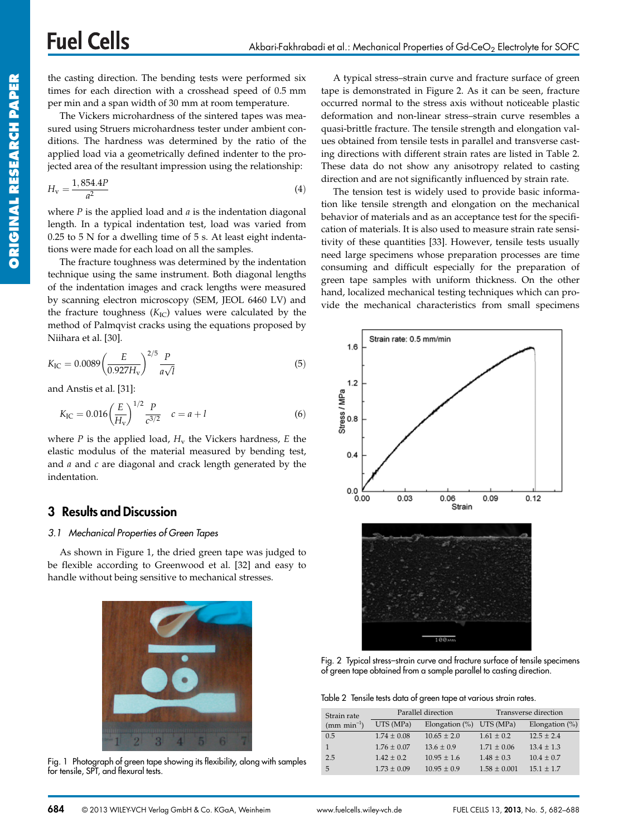the casting direction. The bending tests were performed six times for each direction with a crosshead speed of 0.5 mm per min and a span width of 30 mm at room temperature. The Vickers microhardness of the sintered tapes was mea-

sured using Struers microhardness tester under ambient conditions. The hardness was determined by the ratio of the applied load via a geometrically defined indenter to the projected area of the resultant impression using the relationship:

$$
H_{\rm v} = \frac{1,854.4P}{a^2} \tag{4}
$$

where *P* is the applied load and *a* is the indentation diagonal length. In a typical indentation test, load was varied from 0.25 to 5 N for a dwelling time of 5 s. At least eight indentations were made for each load on all the samples.

The fracture toughness was determined by the indentation technique using the same instrument. Both diagonal lengths of the indentation images and crack lengths were measured by scanning electron microscopy (SEM, JEOL 6460 LV) and the fracture toughness  $(K_{IC})$  values were calculated by the method of Palmqvist cracks using the equations proposed by Niihara et al. [30].

$$
K_{\rm IC} = 0.0089 \left(\frac{E}{0.927 H_{\rm v}}\right)^{2/5} \frac{P}{a\sqrt{l}}\tag{5}
$$

and Anstis et al. [31]:

$$
K_{\rm IC} = 0.016 \left(\frac{E}{H_{\rm v}}\right)^{1/2} \frac{P}{c^{3/2}} \quad c = a + l \tag{6}
$$

where  $P$  is the applied load,  $H_v$  the Vickers hardness,  $E$  the elastic modulus of the material measured by bending test, and *a* and *c* are diagonal and crack length generated by the indentation.

## **3 Results and Discussion**

#### *3.1 Mechanical Properties of Green Tapes*

As shown in Figure 1, the dried green tape was judged to be flexible according to Greenwood et al. [32] and easy to handle without being sensitive to mechanical stresses.



Fig. 1 Photograph of green tape showing its flexibility, along with samples for tensile, SPT, and flexural tests.

A typical stress–strain curve and fracture surface of green tape is demonstrated in Figure 2. As it can be seen, fracture occurred normal to the stress axis without noticeable plastic deformation and non-linear stress–strain curve resembles a quasi-brittle fracture. The tensile strength and elongation values obtained from tensile tests in parallel and transverse casting directions with different strain rates are listed in Table 2. These data do not show any anisotropy related to casting direction and are not significantly influenced by strain rate.

The tension test is widely used to provide basic information like tensile strength and elongation on the mechanical behavior of materials and as an acceptance test for the specification of materials. It is also used to measure strain rate sensitivity of these quantities [33]. However, tensile tests usually need large specimens whose preparation processes are time consuming and difficult especially for the preparation of green tape samples with uniform thickness. On the other hand, localized mechanical testing techniques which can provide the mechanical characteristics from small specimens



Fig. 2 Typical stress–strain curve and fracture surface of tensile specimens of green tape obtained from a sample parallel to casting direction.

|  |  |  |  |  |  |  | Table 2 Tensile tests data of green tape at various strain rates. |  |  |
|--|--|--|--|--|--|--|-------------------------------------------------------------------|--|--|
|--|--|--|--|--|--|--|-------------------------------------------------------------------|--|--|

| Strain rate  |                 | Parallel direction          | Transverse direction |                   |  |
|--------------|-----------------|-----------------------------|----------------------|-------------------|--|
| $(mm min-1)$ | UTS (MPa)       | Elongation $(\%)$ UTS (MPa) |                      | Elongation $(\%)$ |  |
| 0.5          | $1.74 \pm 0.08$ | $10.65 \pm 2.0$             | $1.61 + 0.2$         | $12.5 + 2.4$      |  |
|              | $1.76 \pm 0.07$ | $13.6 \pm 0.9$              | $1.71 + 0.06$        | $13.4 + 1.3$      |  |
| 2.5          | $1.42 \pm 0.2$  | $10.95 \pm 1.6$             | $1.48 \pm 0.3$       | $10.4 \pm 0.7$    |  |
| 5            | $1.73 \pm 0.09$ | $10.95 + 0.9$               | $1.58 \pm 0.001$     | $15.1 + 1.7$      |  |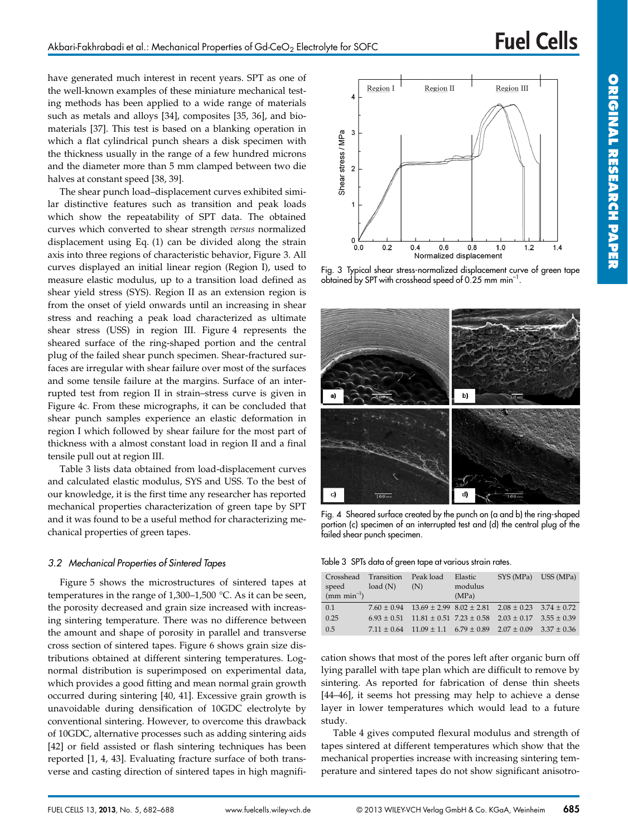have generated much interest in recent years. SPT as one of the well-known examples of these miniature mechanical testing methods has been applied to a wide range of materials such as metals and alloys [34], composites [35, 36], and biomaterials [37]. This test is based on a blanking operation in which a flat cylindrical punch shears a disk specimen with the thickness usually in the range of a few hundred microns and the diameter more than 5 mm clamped between two die halves at constant speed [38, 39].

The shear punch load–displacement curves exhibited similar distinctive features such as transition and peak loads which show the repeatability of SPT data. The obtained curves which converted to shear strength *versus* normalized displacement using Eq. (1) can be divided along the strain axis into three regions of characteristic behavior, Figure 3. All curves displayed an initial linear region (Region I), used to measure elastic modulus, up to a transition load defined as shear yield stress (SYS). Region II as an extension region is from the onset of yield onwards until an increasing in shear stress and reaching a peak load characterized as ultimate shear stress (USS) in region III. Figure 4 represents the sheared surface of the ring-shaped portion and the central plug of the failed shear punch specimen. Shear-fractured surfaces are irregular with shear failure over most of the surfaces and some tensile failure at the margins. Surface of an interrupted test from region II in strain–stress curve is given in Figure 4c. From these micrographs, it can be concluded that shear punch samples experience an elastic deformation in region I which followed by shear failure for the most part of thickness with a almost constant load in region II and a final tensile pull out at region III.

Table 3 lists data obtained from load-displacement curves and calculated elastic modulus, SYS and USS. To the best of our knowledge, it is the first time any researcher has reported mechanical properties characterization of green tape by SPT and it was found to be a useful method for characterizing mechanical properties of green tapes.

#### *3.2 Mechanical Properties of Sintered Tapes*

Figure 5 shows the microstructures of sintered tapes at temperatures in the range of 1,300–1,500 °C. As it can be seen, the porosity decreased and grain size increased with increasing sintering temperature. There was no difference between the amount and shape of porosity in parallel and transverse cross section of sintered tapes. Figure 6 shows grain size distributions obtained at different sintering temperatures. Lognormal distribution is superimposed on experimental data, which provides a good fitting and mean normal grain growth occurred during sintering [40, 41]. Excessive grain growth is unavoidable during densification of 10GDC electrolyte by conventional sintering. However, to overcome this drawback of 10GDC, alternative processes such as adding sintering aids [42] or field assisted or flash sintering techniques has been reported [1, 4, 43]. Evaluating fracture surface of both transverse and casting direction of sintered tapes in high magnifi-



Fig. 3 Typical shear stress-normalized displacement curve of green tape obtained by SPT with crosshead speed of 0.25 mm min–1.



Fig. 4 Sheared surface created by the punch on (a and b) the ring-shaped portion (c) specimen of an interrupted test and (d) the central plug of the failed shear punch specimen.

|  |  |  |  |  |  | Table 3 SPTs data of green tape at various strain rates. |  |  |
|--|--|--|--|--|--|----------------------------------------------------------|--|--|
|--|--|--|--|--|--|----------------------------------------------------------|--|--|

| speed<br>$\text{mm}$ min <sup>-1</sup> ) | Crosshead Transition Peak load<br>load(N) | (N)                                                                              | Elastic<br>modulus<br>(MPa) | SYS (MPa) USS (MPa) |               |
|------------------------------------------|-------------------------------------------|----------------------------------------------------------------------------------|-----------------------------|---------------------|---------------|
| 0.1                                      |                                           | $7.60 \pm 0.94$ 13.69 $\pm$ 2.99 8.02 $\pm$ 2.81 2.08 $\pm$ 0.23 3.74 $\pm$ 0.72 |                             |                     |               |
| 0.25                                     |                                           | $6.93 \pm 0.51$ $11.81 \pm 0.51$ $7.23 \pm 0.58$ $2.03 \pm 0.17$                 |                             |                     | $3.55 + 0.39$ |
| 0.5                                      |                                           | $7.11 \pm 0.64$ $11.09 \pm 1.1$ $6.79 \pm 0.89$ $2.07 \pm 0.09$                  |                             |                     | $3.37 + 0.36$ |

cation shows that most of the pores left after organic burn off lying parallel with tape plan which are difficult to remove by sintering. As reported for fabrication of dense thin sheets [44–46], it seems hot pressing may help to achieve a dense layer in lower temperatures which would lead to a future study.

Table 4 gives computed flexural modulus and strength of tapes sintered at different temperatures which show that the mechanical properties increase with increasing sintering temperature and sintered tapes do not show significant anisotro-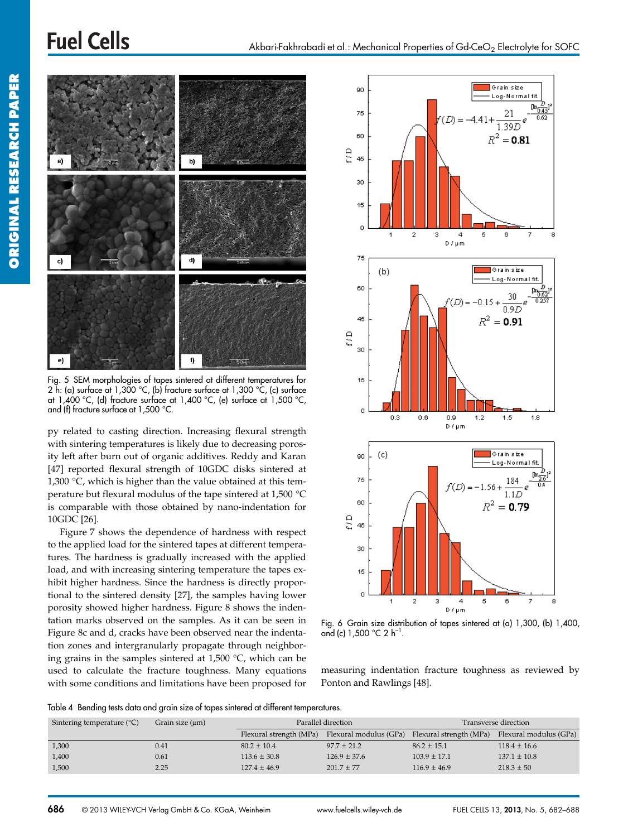# **Fuel Cells**





Fig. 5 SEM morphologies of tapes sintered at different temperatures for 2 h: (a) surface at  $1,300$  °C, (b) fracture surface at  $1,300$  °C, (c) surface at 1,400 °C, (d) fracture surface at 1,400 °C, (e) surface at 1,500 °C, and (f) fracture surface at 1,500 °C.

py related to casting direction. Increasing flexural strength with sintering temperatures is likely due to decreasing porosity left after burn out of organic additives. Reddy and Karan [47] reported flexural strength of 10GDC disks sintered at 1,300  $\degree$ C, which is higher than the value obtained at this temperature but flexural modulus of the tape sintered at 1,500 °C is comparable with those obtained by nano-indentation for 10GDC [26].

Figure 7 shows the dependence of hardness with respect to the applied load for the sintered tapes at different temperatures. The hardness is gradually increased with the applied load, and with increasing sintering temperature the tapes exhibit higher hardness. Since the hardness is directly proportional to the sintered density [27], the samples having lower porosity showed higher hardness. Figure 8 shows the indentation marks observed on the samples. As it can be seen in Figure 8c and d, cracks have been observed near the indentation zones and intergranularly propagate through neighboring grains in the samples sintered at 1,500 °C, which can be used to calculate the fracture toughness. Many equations with some conditions and limitations have been proposed for



Fig. 6 Grain size distribution of tapes sintered at (a) 1,300, (b) 1,400, and (c)  $1,500$  °C 2 h<sup>-1</sup>.

measuring indentation fracture toughness as reviewed by Ponton and Rawlings [48].

Table 4 Bending tests data and grain size of tapes sintered at different temperatures.

| Sintering temperature $(^{\circ}C)$ | Grain size $(\mu m)$ |                         | Parallel direction                             | Transverse direction |                        |  |
|-------------------------------------|----------------------|-------------------------|------------------------------------------------|----------------------|------------------------|--|
|                                     |                      | Flexural strength (MPa) | Flexural modulus (GPa) Flexural strength (MPa) |                      | Flexural modulus (GPa) |  |
| 1,300                               | 0.41                 | $80.2 \pm 10.4$         | $97.7 \pm 21.2$                                | $86.2 \pm 15.1$      | $118.4 \pm 16.6$       |  |
| 1,400                               | 0.61                 | $113.6 \pm 30.8$        | $126.9 \pm 37.6$                               | $103.9 \pm 17.1$     | $137.1 \pm 10.8$       |  |
| 1,500                               | 2.25                 | $127.4 \pm 46.9$        | $201.7 + 77$                                   | $116.9 \pm 46.9$     | $218.3 \pm 50$         |  |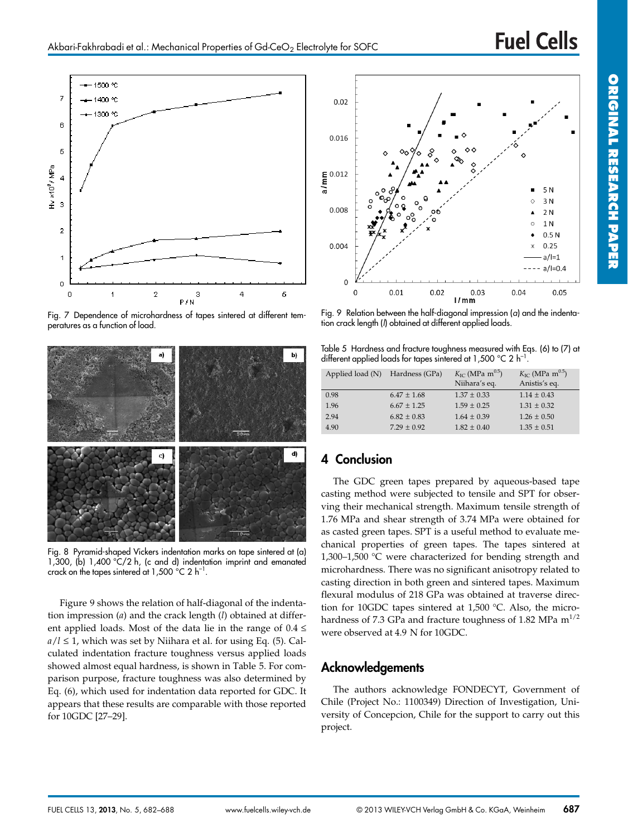

Fig. 7 Dependence of microhardness of tapes sintered at different temperatures as a function of load.



Fig. 8 Pyramid-shaped Vickers indentation marks on tape sintered at (a) 1,300, (b) 1,400 °C/2 h, (c and d) indentation imprint and emanated crack on the tapes sintered at 1,500  $^{\circ}$ C 2 h<sup>-1</sup>.

Figure 9 shows the relation of half-diagonal of the indentation impression (*a*) and the crack length (*l*) obtained at different applied loads. Most of the data lie in the range of  $0.4 \le$  $a/l \leq 1$ , which was set by Niihara et al. for using Eq. (5). Calculated indentation fracture toughness versus applied loads showed almost equal hardness, is shown in Table 5. For comparison purpose, fracture toughness was also determined by Eq. (6), which used for indentation data reported for GDC. It appears that these results are comparable with those reported for 10GDC [27–29].



Fig. 9 Relation between the half-diagonal impression (*a*) and the indentation crack length (*l*) obtained at different applied loads.

Table 5 Hardness and fracture toughness measured with Eqs. (6) to (7) at different applied loads for tapes sintered at 1,500  $^{\circ}$ C 2 h<sup>-1</sup>.

| Applied load (N) | Hardness (GPa)  | $K_{\text{IC}}$ (MPa m <sup>0.5</sup> )<br>Niihara's eq. | $K_{\text{IC}}$ (MPa m <sup>0.5</sup> )<br>Anistis's eq. |
|------------------|-----------------|----------------------------------------------------------|----------------------------------------------------------|
| 0.98             | $6.47 \pm 1.68$ | $1.37 \pm 0.33$                                          | $1.14 \pm 0.43$                                          |
| 1.96             | $6.67 + 1.25$   | $1.59 + 0.25$                                            | $1.31 \pm 0.32$                                          |
| 2.94             | $6.82 \pm 0.83$ | $1.64 \pm 0.39$                                          | $1.26 \pm 0.50$                                          |
| 4.90             | $7.29 + 0.92$   | $1.82 + 0.40$                                            | $1.35 \pm 0.51$                                          |

# **4 Conclusion**

The GDC green tapes prepared by aqueous-based tape casting method were subjected to tensile and SPT for observing their mechanical strength. Maximum tensile strength of 1.76 MPa and shear strength of 3.74 MPa were obtained for as casted green tapes. SPT is a useful method to evaluate mechanical properties of green tapes. The tapes sintered at 1,300–1,500 °C were characterized for bending strength and microhardness. There was no significant anisotropy related to casting direction in both green and sintered tapes. Maximum flexural modulus of 218 GPa was obtained at traverse direction for 10GDC tapes sintered at 1,500 °C. Also, the microhardness of 7.3 GPa and fracture toughness of 1.82 MPa  $m^{1/2}$ were observed at 4.9 N for 10GDC.

# **Acknowledgements**

The authors acknowledge FONDECYT, Government of Chile (Project No.: 1100349) Direction of Investigation, University of Concepcion, Chile for the support to carry out this project.